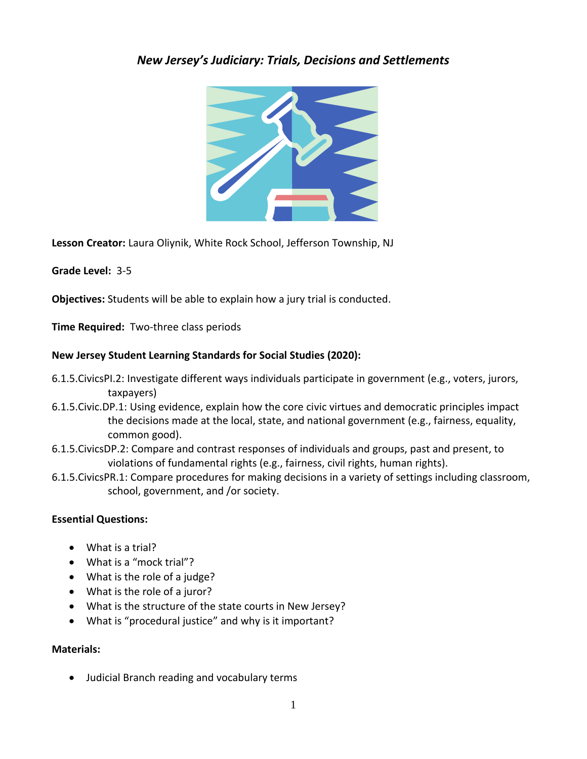#### *New Jersey's Judiciary: Trials, Decisions and Settlements*



**Lesson Creator:** Laura Oliynik, White Rock School, Jefferson Township, NJ

**Grade Level:** 3-5

**Objectives:** Students will be able to explain how a jury trial is conducted.

**Time Required:** Two-three class periods

#### **New Jersey Student Learning Standards for Social Studies (2020):**

- 6.1.5.CivicsPI.2: Investigate different ways individuals participate in government (e.g., voters, jurors, taxpayers)
- 6.1.5.Civic.DP.1: Using evidence, explain how the core civic virtues and democratic principles impact the decisions made at the local, state, and national government (e.g., fairness, equality, common good).
- 6.1.5.CivicsDP.2: Compare and contrast responses of individuals and groups, past and present, to violations of fundamental rights (e.g., fairness, civil rights, human rights).
- 6.1.5.CivicsPR.1: Compare procedures for making decisions in a variety of settings including classroom, school, government, and /or society.

#### **Essential Questions:**

- What is a trial?
- What is a "mock trial"?
- What is the role of a judge?
- What is the role of a juror?
- What is the structure of the state courts in New Jersey?
- What is "procedural justice" and why is it important?

#### **Materials:**

Judicial Branch reading and vocabulary terms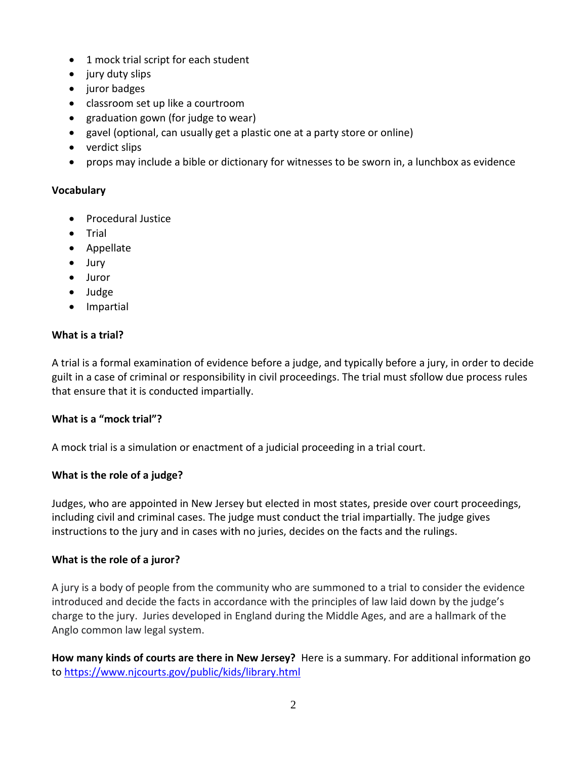- 1 mock trial script for each student
- jury duty slips
- juror badges
- classroom set up like a courtroom
- graduation gown (for judge to wear)
- gavel (optional, can usually get a plastic one at a party store or online)
- verdict slips
- props may include a bible or dictionary for witnesses to be sworn in, a lunchbox as evidence

#### **Vocabulary**

- Procedural Justice
- Trial
- Appellate
- Jury
- Juror
- Judge
- **•** Impartial

#### **What is a trial?**

A trial is a formal examination of evidence before a judge, and typically before a jury, in order to decide guilt in a case of criminal or responsibility in civil proceedings. The trial must sfollow due process rules that ensure that it is conducted impartially.

#### **What is a "mock trial"?**

A mock trial is a simulation or enactment of a judicial proceeding in a trial court.

#### **What is the role of a judge?**

Judges, who are appointed in New Jersey but elected in most states, preside over court proceedings, including civil and criminal cases. The judge must conduct the trial impartially. The judge gives instructions to the jury and in cases with no juries, decides on the facts and the rulings.

#### **What is the role of a juror?**

A jury is a body of people from the community who are summoned to a trial to consider the evidence introduced and decide the facts in accordance with the principles of law laid down by the judge's charge to the jury. Juries developed in England during the Middle Ages, and are a hallmark of the Anglo common law legal system.

**How many kinds of courts are there in New Jersey?** Here is a summary. For additional information go to<https://www.njcourts.gov/public/kids/library.html>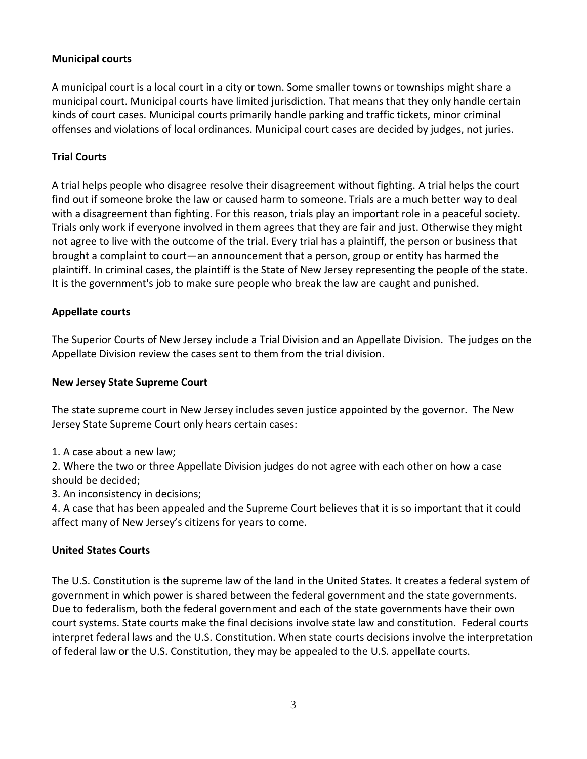#### **Municipal courts**

A municipal court is a local court in a city or town. Some smaller towns or townships might share a municipal court. Municipal courts have limited jurisdiction. That means that they only handle certain kinds of court cases. Municipal courts primarily handle parking and traffic tickets, minor criminal offenses and violations of local ordinances. Municipal court cases are decided by judges, not juries.

#### **Trial Courts**

A trial helps people who disagree resolve their disagreement without fighting. A trial helps the court find out if someone broke the law or caused harm to someone. Trials are a much better way to deal with a disagreement than fighting. For this reason, trials play an important role in a peaceful society. Trials only work if everyone involved in them agrees that they are fair and just. Otherwise they might not agree to live with the outcome of the trial. Every trial has a plaintiff, the person or business that brought a complaint to court—an announcement that a person, group or entity has harmed the plaintiff. In criminal cases, the plaintiff is the State of New Jersey representing the people of the state. It is the government's job to make sure people who break the law are caught and punished.

#### **Appellate courts**

The Superior Courts of New Jersey include a Trial Division and an Appellate Division. The judges on the Appellate Division review the cases sent to them from the trial division.

#### **New Jersey State Supreme Court**

The state supreme court in New Jersey includes seven justice appointed by the governor. The New Jersey State Supreme Court only hears certain cases:

1. A case about a new law;

2. Where the two or three Appellate Division judges do not agree with each other on how a case should be decided;

3. An inconsistency in decisions;

4. A case that has been appealed and the Supreme Court believes that it is so important that it could affect many of New Jersey's citizens for years to come.

#### **United States Courts**

The U.S. Constitution is the supreme law of the land in the United States. It creates a federal system of government in which power is shared between the federal government and the state governments. Due to federalism, both the federal government and each of the state governments have their own court systems. State courts make the final decisions involve state law and constitution. Federal courts interpret federal laws and the U.S. Constitution. When state courts decisions involve the interpretation of federal law or the U.S. Constitution, they may be appealed to the U.S. appellate courts.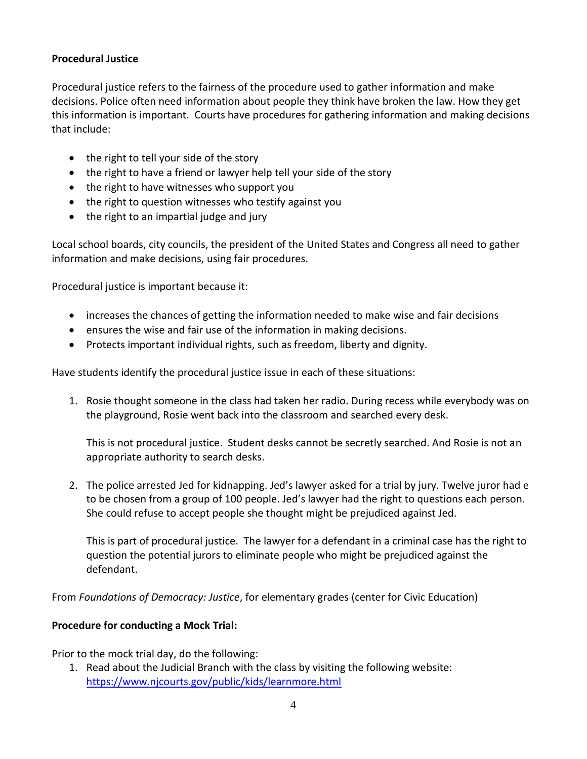#### **Procedural Justice**

Procedural justice refers to the fairness of the procedure used to gather information and make decisions. Police often need information about people they think have broken the law. How they get this information is important. Courts have procedures for gathering information and making decisions that include:

- the right to tell your side of the story
- the right to have a friend or lawyer help tell your side of the story
- the right to have witnesses who support you
- the right to question witnesses who testify against you
- the right to an impartial judge and jury

Local school boards, city councils, the president of the United States and Congress all need to gather information and make decisions, using fair procedures.

Procedural justice is important because it:

- increases the chances of getting the information needed to make wise and fair decisions
- ensures the wise and fair use of the information in making decisions.
- Protects important individual rights, such as freedom, liberty and dignity.

Have students identify the procedural justice issue in each of these situations:

1. Rosie thought someone in the class had taken her radio. During recess while everybody was on the playground, Rosie went back into the classroom and searched every desk.

This is not procedural justice. Student desks cannot be secretly searched. And Rosie is not an appropriate authority to search desks.

2. The police arrested Jed for kidnapping. Jed's lawyer asked for a trial by jury. Twelve juror had e to be chosen from a group of 100 people. Jed's lawyer had the right to questions each person. She could refuse to accept people she thought might be prejudiced against Jed.

This is part of procedural justice. The lawyer for a defendant in a criminal case has the right to question the potential jurors to eliminate people who might be prejudiced against the defendant.

From *Foundations of Democracy: Justice*, for elementary grades (center for Civic Education)

#### **Procedure for conducting a Mock Trial:**

Prior to the mock trial day, do the following:

1. Read about the Judicial Branch with the class by visiting the following website: <https://www.njcourts.gov/public/kids/learnmore.html>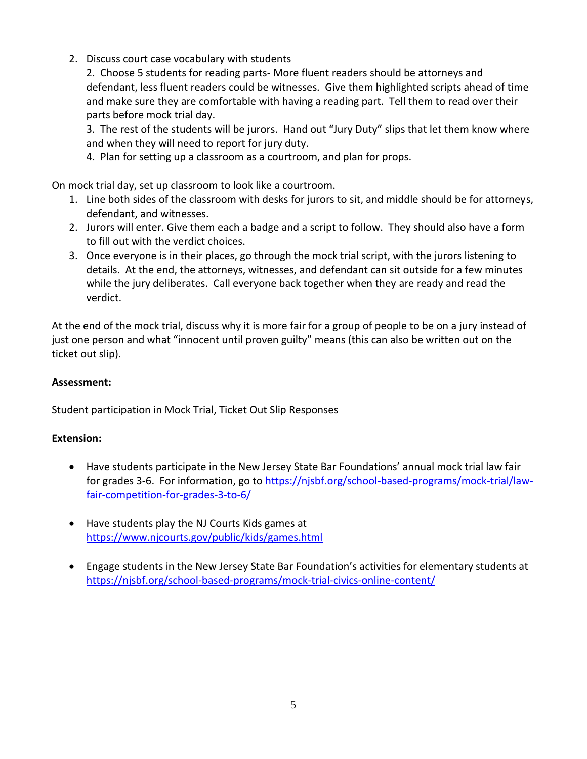2. Discuss court case vocabulary with students

2. Choose 5 students for reading parts- More fluent readers should be attorneys and defendant, less fluent readers could be witnesses. Give them highlighted scripts ahead of time and make sure they are comfortable with having a reading part. Tell them to read over their parts before mock trial day.

3. The rest of the students will be jurors. Hand out "Jury Duty" slips that let them know where and when they will need to report for jury duty.

4. Plan for setting up a classroom as a courtroom, and plan for props.

On mock trial day, set up classroom to look like a courtroom.

- 1. Line both sides of the classroom with desks for jurors to sit, and middle should be for attorneys, defendant, and witnesses.
- 2. Jurors will enter. Give them each a badge and a script to follow. They should also have a form to fill out with the verdict choices.
- 3. Once everyone is in their places, go through the mock trial script, with the jurors listening to details. At the end, the attorneys, witnesses, and defendant can sit outside for a few minutes while the jury deliberates. Call everyone back together when they are ready and read the verdict.

At the end of the mock trial, discuss why it is more fair for a group of people to be on a jury instead of just one person and what "innocent until proven guilty" means (this can also be written out on the ticket out slip).

#### **Assessment:**

Student participation in Mock Trial, Ticket Out Slip Responses

#### **Extension:**

- Have students participate in the New Jersey State Bar Foundations' annual mock trial law fair for grades 3-6. For information, go to [https://njsbf.org/school-based-programs/mock-trial/law](https://njsbf.org/school-based-programs/mock-trial/law-fair-competition-for-grades-3-to-6/)[fair-competition-for-grades-3-to-6/](https://njsbf.org/school-based-programs/mock-trial/law-fair-competition-for-grades-3-to-6/)
- Have students play the NJ Courts Kids games at <https://www.njcourts.gov/public/kids/games.html>
- Engage students in the New Jersey State Bar Foundation's activities for elementary students at <https://njsbf.org/school-based-programs/mock-trial-civics-online-content/>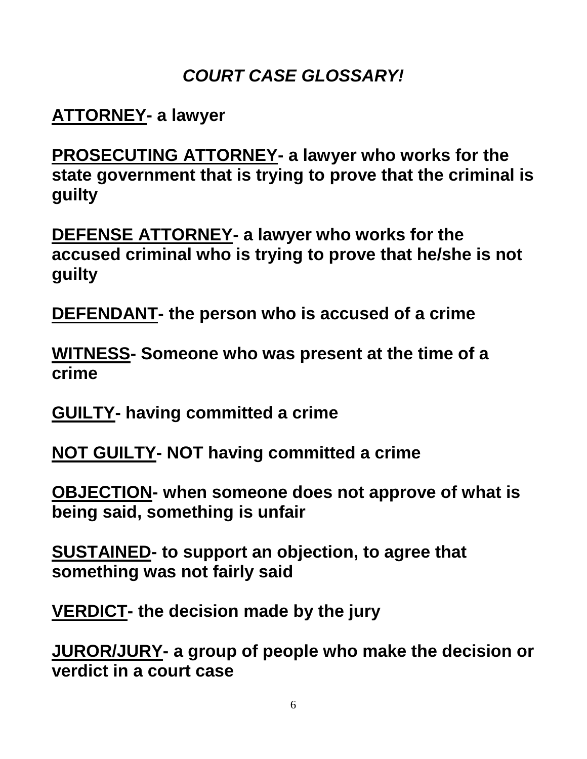# *COURT CASE GLOSSARY!*

## **ATTORNEY- a lawyer**

**PROSECUTING ATTORNEY- a lawyer who works for the state government that is trying to prove that the criminal is guilty**

**DEFENSE ATTORNEY- a lawyer who works for the accused criminal who is trying to prove that he/she is not guilty**

**DEFENDANT- the person who is accused of a crime**

**WITNESS- Someone who was present at the time of a crime**

**GUILTY- having committed a crime**

**NOT GUILTY- NOT having committed a crime**

**OBJECTION- when someone does not approve of what is being said, something is unfair**

**SUSTAINED- to support an objection, to agree that something was not fairly said**

**VERDICT- the decision made by the jury**

**JUROR/JURY- a group of people who make the decision or verdict in a court case**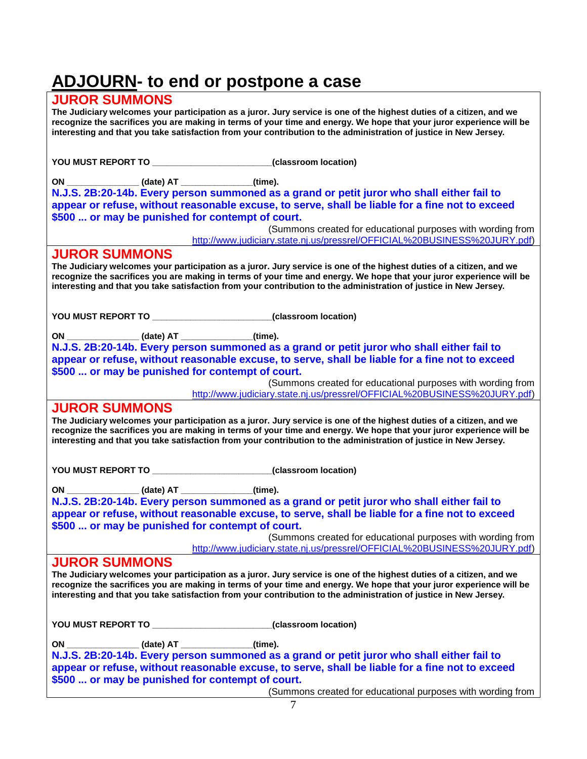# **ADJOURN- to end or postpone a case**

#### **JUROR SUMMONS**

**The Judiciary welcomes your participation as a juror. Jury service is one of the highest duties of a citizen, and we recognize the sacrifices you are making in terms of your time and energy. We hope that your juror experience will be interesting and that you take satisfaction from your contribution to the administration of justice in New Jersey.** 

| ON ______________(date) AT ____________(time).                                                                                                                                                                                                                                                                                                                    |
|-------------------------------------------------------------------------------------------------------------------------------------------------------------------------------------------------------------------------------------------------------------------------------------------------------------------------------------------------------------------|
| N.J.S. 2B:20-14b. Every person summoned as a grand or petit juror who shall either fail to                                                                                                                                                                                                                                                                        |
| appear or refuse, without reasonable excuse, to serve, shall be liable for a fine not to exceed                                                                                                                                                                                                                                                                   |
| \$500  or may be punished for contempt of court.                                                                                                                                                                                                                                                                                                                  |
| (Summons created for educational purposes with wording from<br>http://www.judiciary.state.nj.us/pressrel/OFFICIAL%20BUSINESS%20JURY.pdf)                                                                                                                                                                                                                          |
| <b>JUROR SUMMONS</b>                                                                                                                                                                                                                                                                                                                                              |
| The Judiciary welcomes your participation as a juror. Jury service is one of the highest duties of a citizen, and we<br>recognize the sacrifices you are making in terms of your time and energy. We hope that your juror experience will be<br>interesting and that you take satisfaction from your contribution to the administration of justice in New Jersey. |
| YOU MUST REPORT TO _______________________(classroom location)                                                                                                                                                                                                                                                                                                    |
| ON _______________(date) AT ____________(time).                                                                                                                                                                                                                                                                                                                   |
| N.J.S. 2B:20-14b. Every person summoned as a grand or petit juror who shall either fail to                                                                                                                                                                                                                                                                        |
| appear or refuse, without reasonable excuse, to serve, shall be liable for a fine not to exceed                                                                                                                                                                                                                                                                   |
| \$500  or may be punished for contempt of court.                                                                                                                                                                                                                                                                                                                  |
| (Summons created for educational purposes with wording from                                                                                                                                                                                                                                                                                                       |
| http://www.judiciary.state.nj.us/pressrel/OFFICIAL%20BUSINESS%20JURY.pdf)                                                                                                                                                                                                                                                                                         |
| <b>JUROR SUMMONS</b>                                                                                                                                                                                                                                                                                                                                              |
| The Judiciary welcomes your participation as a juror. Jury service is one of the highest duties of a citizen, and we<br>recognize the sacrifices you are making in terms of your time and energy. We hope that your juror experience will be<br>interesting and that you take satisfaction from your contribution to the administration of justice in New Jersey. |
|                                                                                                                                                                                                                                                                                                                                                                   |
| YOU MUST REPORT TO ________________________(classroom location)                                                                                                                                                                                                                                                                                                   |
| ON ________________(date) AT ______________(time).                                                                                                                                                                                                                                                                                                                |
|                                                                                                                                                                                                                                                                                                                                                                   |
|                                                                                                                                                                                                                                                                                                                                                                   |
| N.J.S. 2B:20-14b. Every person summoned as a grand or petit juror who shall either fail to<br>appear or refuse, without reasonable excuse, to serve, shall be liable for a fine not to exceed                                                                                                                                                                     |
| \$500  or may be punished for contempt of court.                                                                                                                                                                                                                                                                                                                  |
| (Summons created for educational purposes with wording from                                                                                                                                                                                                                                                                                                       |
| http://www.judiciary.state.nj.us/pressrel/OFFICIAL%20BUSINESS%20JURY.pdf)                                                                                                                                                                                                                                                                                         |
| <b>JUROR SUMMONS</b>                                                                                                                                                                                                                                                                                                                                              |
| The Judiciary welcomes your participation as a juror. Jury service is one of the highest duties of a citizen, and we<br>recognize the sacrifices you are making in terms of your time and energy. We hope that your juror experience will be<br>interesting and that you take satisfaction from your contribution to the administration of justice in New Jersey. |
|                                                                                                                                                                                                                                                                                                                                                                   |
| YOU MUST REPORT TO _______________________(classroom location)                                                                                                                                                                                                                                                                                                    |
| ON _______________(date) AT ____________(time).                                                                                                                                                                                                                                                                                                                   |
| N.J.S. 2B:20-14b. Every person summoned as a grand or petit juror who shall either fail to                                                                                                                                                                                                                                                                        |
| appear or refuse, without reasonable excuse, to serve, shall be liable for a fine not to exceed<br>\$500  or may be punished for contempt of court.                                                                                                                                                                                                               |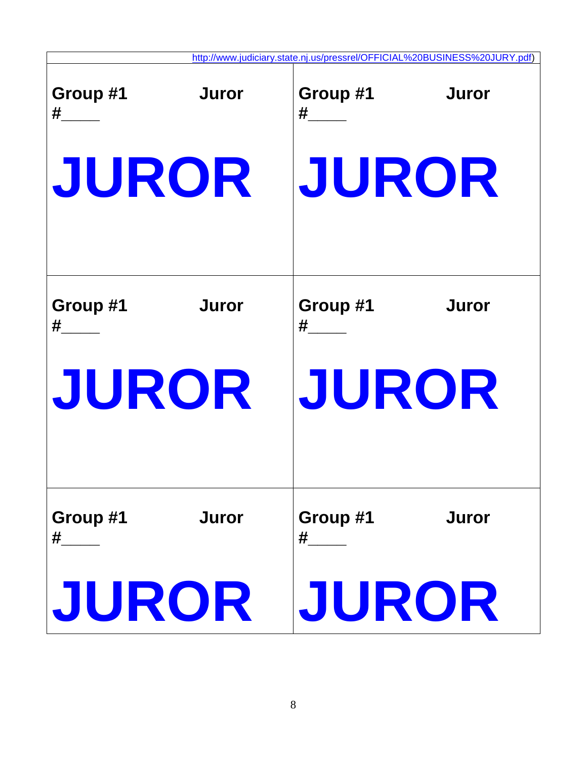|                                        | http://www.judiciary.state.nj.us/pressrel/OFFICIAL%20BUSINESS%20JURY.pdf) |
|----------------------------------------|---------------------------------------------------------------------------|
| <b>Juror</b><br>Group #1<br># $\qquad$ | Group #1<br><b>Juror</b>                                                  |
| JUROR                                  | JUROR                                                                     |
| Group #1<br><b>Juror</b><br>#          | Group #1<br><b>Juror</b><br>#                                             |
| JUROR                                  | JUROR                                                                     |
| <b>Juror</b><br>Group #1<br>#          | Group #1<br><b>Juror</b><br>$\#$                                          |
| JUROR                                  | JUROR                                                                     |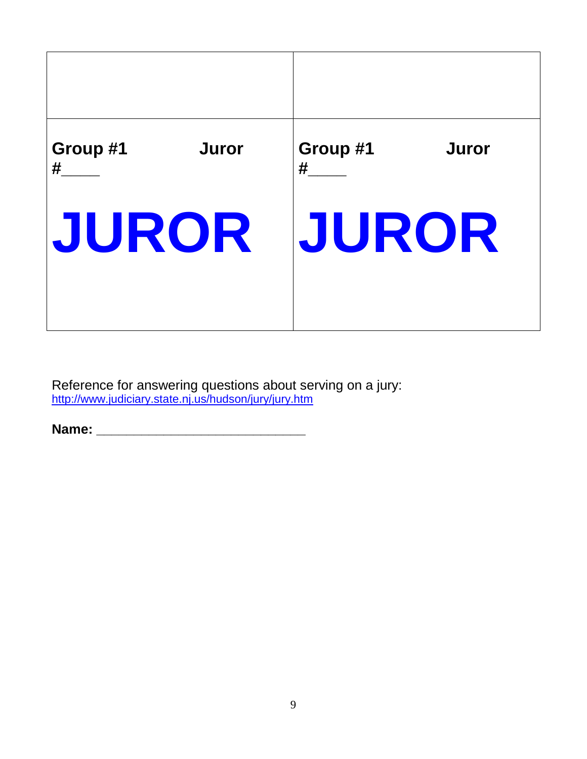

Reference for answering questions about serving on a jury: <http://www.judiciary.state.nj.us/hudson/jury/jury.htm>

**Name: \_\_\_\_\_\_\_\_\_\_\_\_\_\_\_\_\_\_\_\_\_\_\_\_\_\_\_\_**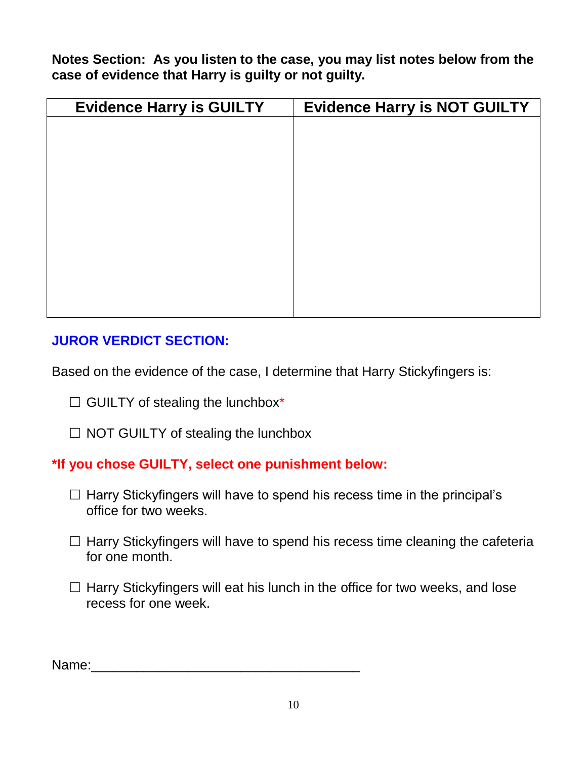**Notes Section: As you listen to the case, you may list notes below from the case of evidence that Harry is guilty or not guilty.**

| <b>Evidence Harry is GUILTY</b> | <b>Evidence Harry is NOT GUILTY</b> |
|---------------------------------|-------------------------------------|
|                                 |                                     |
|                                 |                                     |
|                                 |                                     |
|                                 |                                     |
|                                 |                                     |
|                                 |                                     |
|                                 |                                     |
|                                 |                                     |
|                                 |                                     |
|                                 |                                     |

## **JUROR VERDICT SECTION:**

Based on the evidence of the case, I determine that Harry Stickyfingers is:

 $\Box$  GUILTY of stealing the lunchbox\*

 $\Box$  NOT GUILTY of stealing the lunchbox

### **\*If you chose GUILTY, select one punishment below:**

- $\Box$  Harry Stickyfingers will have to spend his recess time in the principal's office for two weeks.
- $\Box$  Harry Stickyfingers will have to spend his recess time cleaning the cafeteria for one month.
- $\Box$  Harry Stickyfingers will eat his lunch in the office for two weeks, and lose recess for one week.

Name:\_\_\_\_\_\_\_\_\_\_\_\_\_\_\_\_\_\_\_\_\_\_\_\_\_\_\_\_\_\_\_\_\_\_\_\_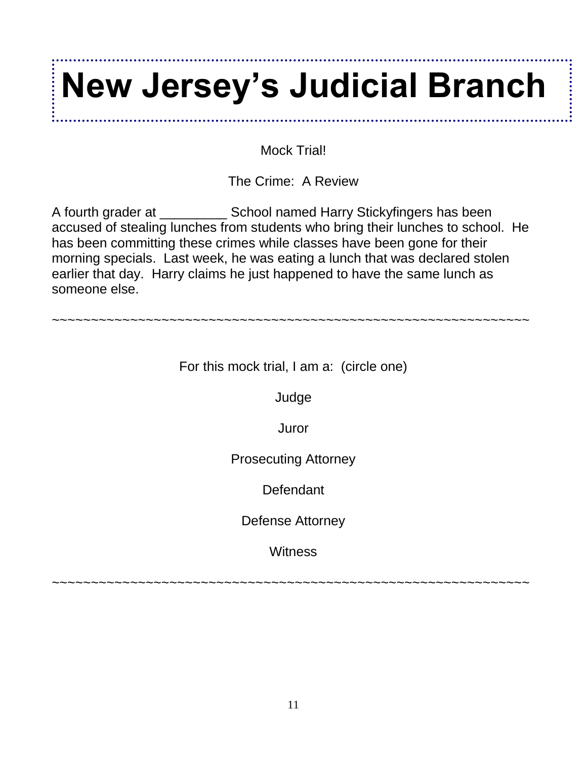# **New Jersey's Judicial Branch**

Mock Trial!

The Crime: A Review

A fourth grader at \_\_\_\_\_\_\_\_\_ School named Harry Stickyfingers has been accused of stealing lunches from students who bring their lunches to school. He has been committing these crimes while classes have been gone for their morning specials. Last week, he was eating a lunch that was declared stolen earlier that day. Harry claims he just happened to have the same lunch as someone else.

For this mock trial, I am a: (circle one)

~~~~~~~~~~~~~~~~~~~~~~~~~~~~~~~~~~~~~~~~~~~~~~~~~~~~~~~~~~~~~

Judge

Juror

Prosecuting Attorney

**Defendant** 

Defense Attorney

**Witness** 

~~~~~~~~~~~~~~~~~~~~~~~~~~~~~~~~~~~~~~~~~~~~~~~~~~~~~~~~~~~~~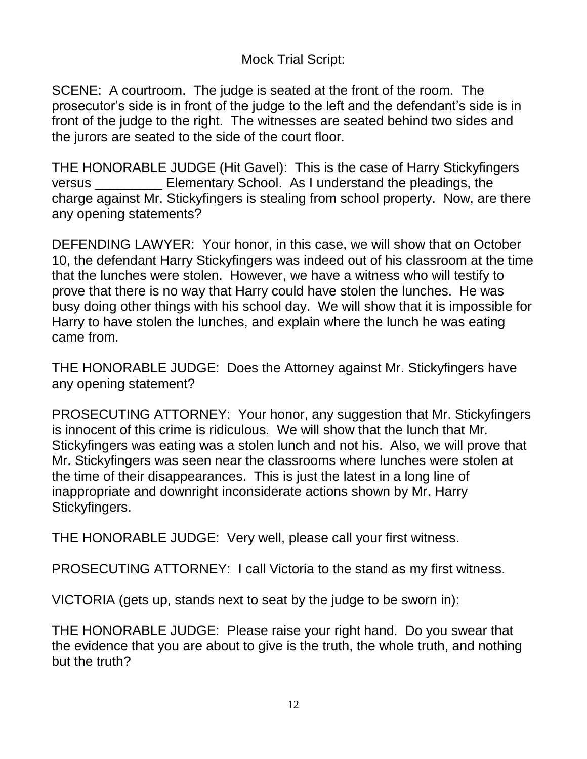## Mock Trial Script:

SCENE: A courtroom. The judge is seated at the front of the room. The prosecutor's side is in front of the judge to the left and the defendant's side is in front of the judge to the right. The witnesses are seated behind two sides and the jurors are seated to the side of the court floor.

THE HONORABLE JUDGE (Hit Gavel): This is the case of Harry Stickyfingers versus **Elementary School.** As I understand the pleadings, the charge against Mr. Stickyfingers is stealing from school property. Now, are there any opening statements?

DEFENDING LAWYER: Your honor, in this case, we will show that on October 10, the defendant Harry Stickyfingers was indeed out of his classroom at the time that the lunches were stolen. However, we have a witness who will testify to prove that there is no way that Harry could have stolen the lunches. He was busy doing other things with his school day. We will show that it is impossible for Harry to have stolen the lunches, and explain where the lunch he was eating came from.

THE HONORABLE JUDGE: Does the Attorney against Mr. Stickyfingers have any opening statement?

PROSECUTING ATTORNEY: Your honor, any suggestion that Mr. Stickyfingers is innocent of this crime is ridiculous. We will show that the lunch that Mr. Stickyfingers was eating was a stolen lunch and not his. Also, we will prove that Mr. Stickyfingers was seen near the classrooms where lunches were stolen at the time of their disappearances. This is just the latest in a long line of inappropriate and downright inconsiderate actions shown by Mr. Harry Stickyfingers.

THE HONORABLE JUDGE: Very well, please call your first witness.

PROSECUTING ATTORNEY: I call Victoria to the stand as my first witness.

VICTORIA (gets up, stands next to seat by the judge to be sworn in):

THE HONORABLE JUDGE: Please raise your right hand. Do you swear that the evidence that you are about to give is the truth, the whole truth, and nothing but the truth?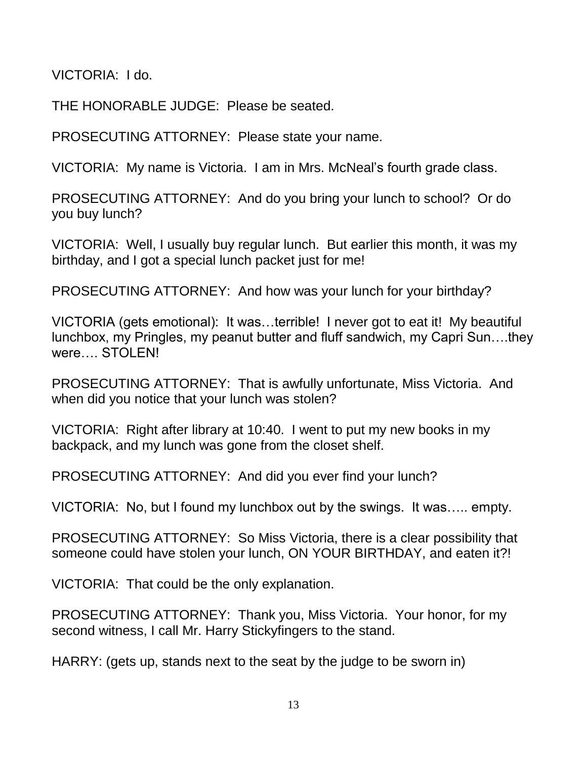VICTORIA: I do.

THE HONORABLE JUDGE: Please be seated.

PROSECUTING ATTORNEY: Please state your name.

VICTORIA: My name is Victoria. I am in Mrs. McNeal's fourth grade class.

PROSECUTING ATTORNEY: And do you bring your lunch to school? Or do you buy lunch?

VICTORIA: Well, I usually buy regular lunch. But earlier this month, it was my birthday, and I got a special lunch packet just for me!

PROSECUTING ATTORNEY: And how was your lunch for your birthday?

VICTORIA (gets emotional): It was…terrible! I never got to eat it! My beautiful lunchbox, my Pringles, my peanut butter and fluff sandwich, my Capri Sun….they were…. STOLEN!

PROSECUTING ATTORNEY: That is awfully unfortunate, Miss Victoria. And when did you notice that your lunch was stolen?

VICTORIA: Right after library at 10:40. I went to put my new books in my backpack, and my lunch was gone from the closet shelf.

PROSECUTING ATTORNEY: And did you ever find your lunch?

VICTORIA: No, but I found my lunchbox out by the swings. It was….. empty.

PROSECUTING ATTORNEY: So Miss Victoria, there is a clear possibility that someone could have stolen your lunch, ON YOUR BIRTHDAY, and eaten it?!

VICTORIA: That could be the only explanation.

PROSECUTING ATTORNEY: Thank you, Miss Victoria. Your honor, for my second witness, I call Mr. Harry Stickyfingers to the stand.

HARRY: (gets up, stands next to the seat by the judge to be sworn in)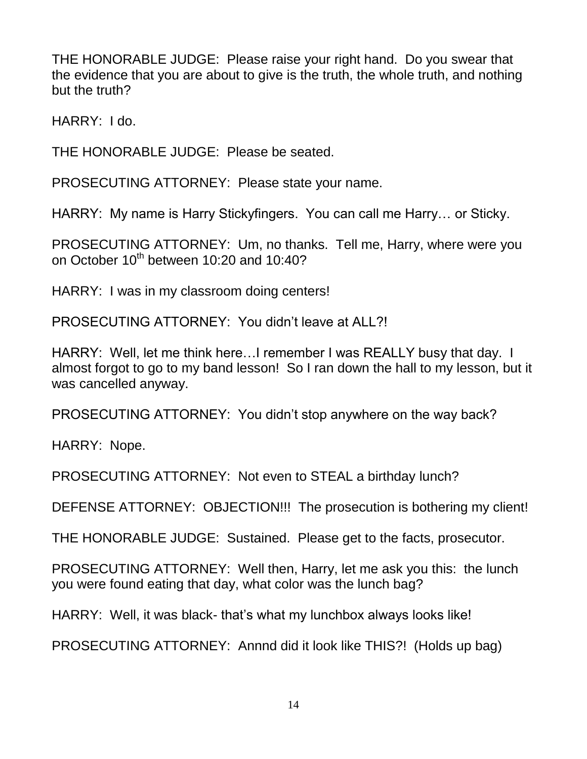THE HONORABLE JUDGE: Please raise your right hand. Do you swear that the evidence that you are about to give is the truth, the whole truth, and nothing but the truth?

HARRY: I do.

THE HONORABLE JUDGE: Please be seated.

PROSECUTING ATTORNEY: Please state your name.

HARRY: My name is Harry Stickyfingers. You can call me Harry… or Sticky.

PROSECUTING ATTORNEY: Um, no thanks. Tell me, Harry, where were you on October  $10^{th}$  between 10:20 and 10:40?

HARRY: I was in my classroom doing centers!

PROSECUTING ATTORNEY: You didn't leave at ALL?!

HARRY: Well, let me think here…I remember I was REALLY busy that day. I almost forgot to go to my band lesson! So I ran down the hall to my lesson, but it was cancelled anyway.

PROSECUTING ATTORNEY: You didn't stop anywhere on the way back?

HARRY: Nope.

PROSECUTING ATTORNEY: Not even to STEAL a birthday lunch?

DEFENSE ATTORNEY: OBJECTION!!! The prosecution is bothering my client!

THE HONORABLE JUDGE: Sustained. Please get to the facts, prosecutor.

PROSECUTING ATTORNEY: Well then, Harry, let me ask you this: the lunch you were found eating that day, what color was the lunch bag?

HARRY: Well, it was black- that's what my lunchbox always looks like!

PROSECUTING ATTORNEY: Annnd did it look like THIS?! (Holds up bag)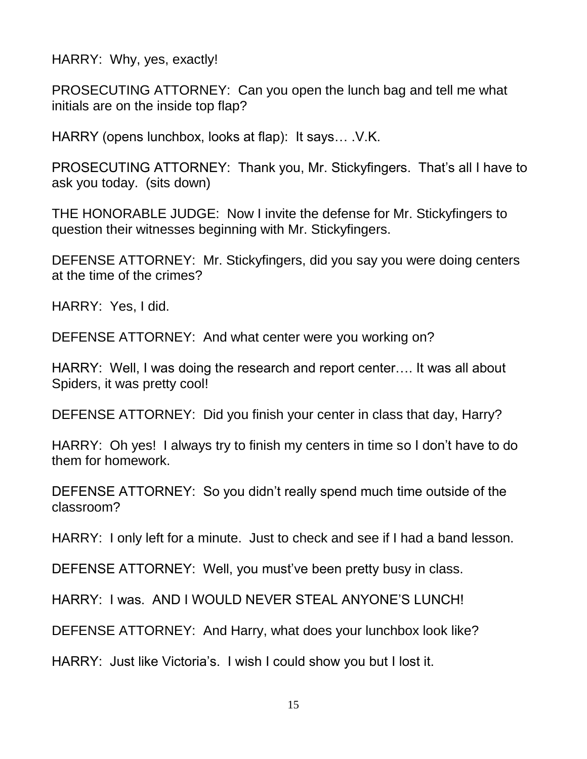HARRY: Why, yes, exactly!

PROSECUTING ATTORNEY: Can you open the lunch bag and tell me what initials are on the inside top flap?

HARRY (opens lunchbox, looks at flap): It says… .V.K.

PROSECUTING ATTORNEY: Thank you, Mr. Stickyfingers. That's all I have to ask you today. (sits down)

THE HONORABLE JUDGE: Now I invite the defense for Mr. Stickyfingers to question their witnesses beginning with Mr. Stickyfingers.

DEFENSE ATTORNEY: Mr. Stickyfingers, did you say you were doing centers at the time of the crimes?

HARRY: Yes, I did.

DEFENSE ATTORNEY: And what center were you working on?

HARRY: Well, I was doing the research and report center…. It was all about Spiders, it was pretty cool!

DEFENSE ATTORNEY: Did you finish your center in class that day, Harry?

HARRY: Oh yes! I always try to finish my centers in time so I don't have to do them for homework.

DEFENSE ATTORNEY: So you didn't really spend much time outside of the classroom?

HARRY: I only left for a minute. Just to check and see if I had a band lesson.

DEFENSE ATTORNEY: Well, you must've been pretty busy in class.

HARRY: I was. AND I WOULD NEVER STEAL ANYONE'S LUNCH!

DEFENSE ATTORNEY: And Harry, what does your lunchbox look like?

HARRY: Just like Victoria's. I wish I could show you but I lost it.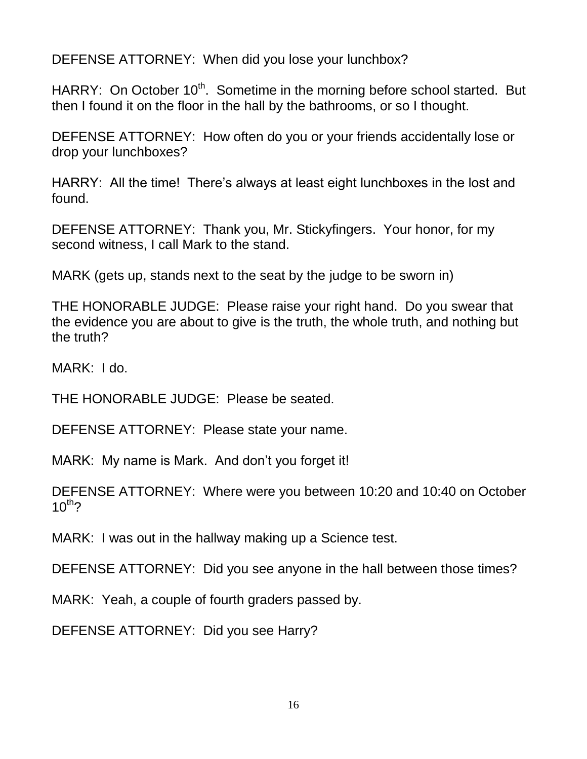DEFENSE ATTORNEY: When did you lose your lunchbox?

HARRY: On October 10<sup>th</sup>. Sometime in the morning before school started. But then I found it on the floor in the hall by the bathrooms, or so I thought.

DEFENSE ATTORNEY: How often do you or your friends accidentally lose or drop your lunchboxes?

HARRY: All the time! There's always at least eight lunchboxes in the lost and found.

DEFENSE ATTORNEY: Thank you, Mr. Stickyfingers. Your honor, for my second witness, I call Mark to the stand.

MARK (gets up, stands next to the seat by the judge to be sworn in)

THE HONORABLE JUDGE: Please raise your right hand. Do you swear that the evidence you are about to give is the truth, the whole truth, and nothing but the truth?

MARK: I do.

THE HONORABLE JUDGE: Please be seated.

DEFENSE ATTORNEY: Please state your name.

MARK: My name is Mark. And don't you forget it!

DEFENSE ATTORNEY: Where were you between 10:20 and 10:40 on October  $10^{th}$ ?

MARK: I was out in the hallway making up a Science test.

DEFENSE ATTORNEY: Did you see anyone in the hall between those times?

MARK: Yeah, a couple of fourth graders passed by.

DEFENSE ATTORNEY: Did you see Harry?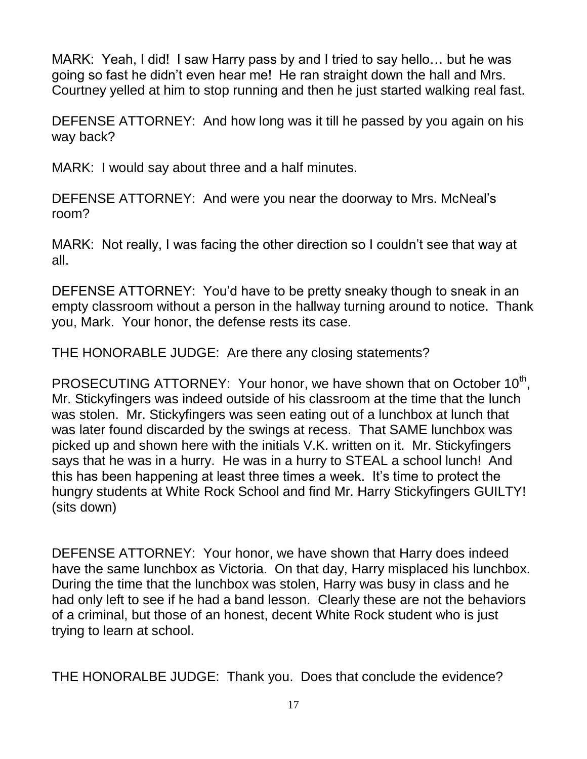MARK: Yeah, I did! I saw Harry pass by and I tried to say hello… but he was going so fast he didn't even hear me! He ran straight down the hall and Mrs. Courtney yelled at him to stop running and then he just started walking real fast.

DEFENSE ATTORNEY: And how long was it till he passed by you again on his way back?

MARK: I would say about three and a half minutes.

DEFENSE ATTORNEY: And were you near the doorway to Mrs. McNeal's room?

MARK: Not really, I was facing the other direction so I couldn't see that way at all.

DEFENSE ATTORNEY: You'd have to be pretty sneaky though to sneak in an empty classroom without a person in the hallway turning around to notice. Thank you, Mark. Your honor, the defense rests its case.

THE HONORABLE JUDGE: Are there any closing statements?

PROSECUTING ATTORNEY: Your honor, we have shown that on October  $10^{th}$ , Mr. Stickyfingers was indeed outside of his classroom at the time that the lunch was stolen. Mr. Stickyfingers was seen eating out of a lunchbox at lunch that was later found discarded by the swings at recess. That SAME lunchbox was picked up and shown here with the initials V.K. written on it. Mr. Stickyfingers says that he was in a hurry. He was in a hurry to STEAL a school lunch! And this has been happening at least three times a week. It's time to protect the hungry students at White Rock School and find Mr. Harry Stickyfingers GUILTY! (sits down)

DEFENSE ATTORNEY: Your honor, we have shown that Harry does indeed have the same lunchbox as Victoria. On that day, Harry misplaced his lunchbox. During the time that the lunchbox was stolen, Harry was busy in class and he had only left to see if he had a band lesson. Clearly these are not the behaviors of a criminal, but those of an honest, decent White Rock student who is just trying to learn at school.

THE HONORALBE JUDGE: Thank you. Does that conclude the evidence?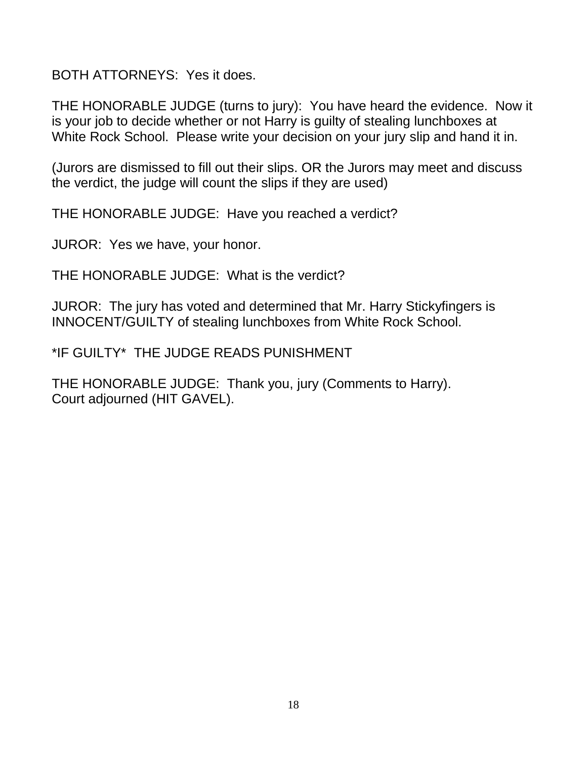BOTH ATTORNEYS: Yes it does.

THE HONORABLE JUDGE (turns to jury): You have heard the evidence. Now it is your job to decide whether or not Harry is guilty of stealing lunchboxes at White Rock School. Please write your decision on your jury slip and hand it in.

(Jurors are dismissed to fill out their slips. OR the Jurors may meet and discuss the verdict, the judge will count the slips if they are used)

THE HONORABLE JUDGE: Have you reached a verdict?

JUROR: Yes we have, your honor.

THE HONORABLE JUDGE: What is the verdict?

JUROR: The jury has voted and determined that Mr. Harry Stickyfingers is INNOCENT/GUILTY of stealing lunchboxes from White Rock School.

\*IF GUILTY\* THE JUDGE READS PUNISHMENT

THE HONORABLE JUDGE: Thank you, jury (Comments to Harry). Court adjourned (HIT GAVEL).